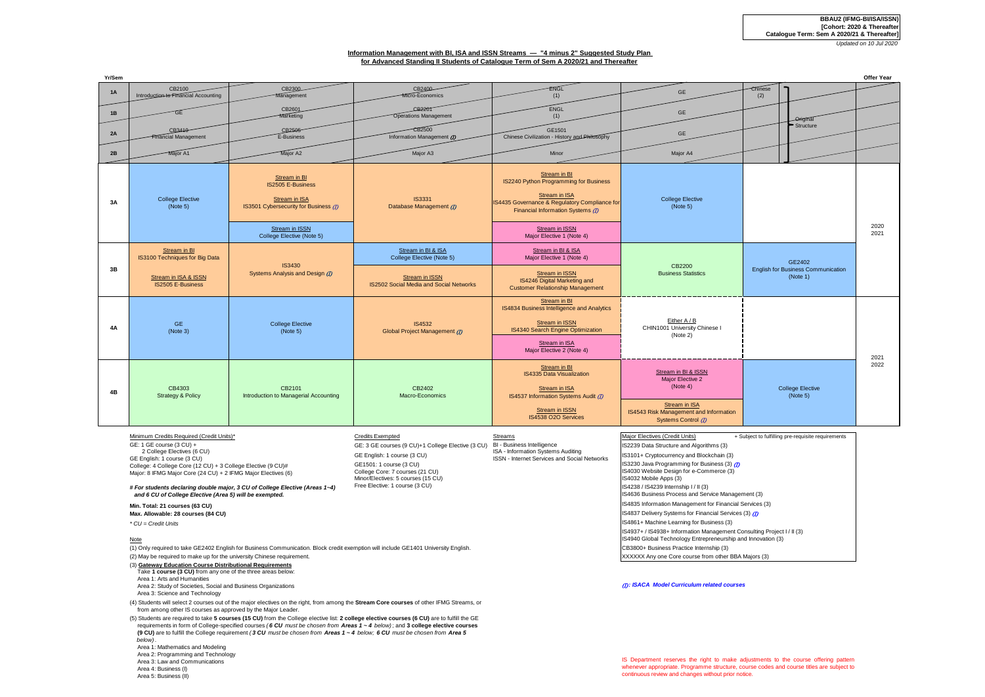# **Information Management with BI, ISA and ISSN Streams — "4 minus 2" Suggested Study Plan for Advanced Standing II Students of Catalogue Term of Sem A 2020/21 and Thereafter**

| Yr/Sem    |                                                |                                                                                                    |                                                           |                                                                                                                                                                 |                                                                                                                                       |                                                                 | <b>Offer Year</b> |
|-----------|------------------------------------------------|----------------------------------------------------------------------------------------------------|-----------------------------------------------------------|-----------------------------------------------------------------------------------------------------------------------------------------------------------------|---------------------------------------------------------------------------------------------------------------------------------------|-----------------------------------------------------------------|-------------------|
| 1A        | CB2100<br>Introduction to Financial Accounting | CB2300<br>Management                                                                               | CB2400<br>Micro-Economics                                 | <b>ENGL</b><br>(1)                                                                                                                                              | GE                                                                                                                                    | Chinese<br>(2)                                                  |                   |
| 1B        | GE                                             | CB2601<br>Marketing                                                                                | CB2201<br><b>Operations Management</b>                    | ENGL<br>(1)                                                                                                                                                     | GE                                                                                                                                    | <b>Original</b>                                                 |                   |
| 2A        | CB3410-<br>Financial Management                | CB2505<br>E-Business                                                                               | $\overline{CB2500}$<br>Information Management (D)         | GE1501<br>Chinese Civilization - History and Philosophy                                                                                                         | GE                                                                                                                                    | Structure                                                       |                   |
| 2B        | Major A1                                       | Major A2                                                                                           | Major A3                                                  | Minor                                                                                                                                                           | Major A4                                                                                                                              |                                                                 |                   |
| 3A        | <b>College Elective</b><br>(Note 5)            | Stream in BI<br><b>IS2505 E-Business</b><br>Stream in ISA<br>IS3501 Cybersecurity for Business (7) | <b>IS3331</b><br>Database Management (D)                  | Stream in BI<br>IS2240 Python Programming for Business<br>Stream in ISA<br>IS4435 Governance & Regulatory Compliance for<br>Financial Information Systems (7)   | <b>College Elective</b><br>(Note 5)                                                                                                   |                                                                 |                   |
|           |                                                | Stream in ISSN<br>College Elective (Note 5)                                                        |                                                           | Stream in ISSN<br>Major Elective 1 (Note 4)                                                                                                                     |                                                                                                                                       |                                                                 | 2020<br>2021      |
| 3B        | Stream in BI<br>IS3100 Techniques for Big Data | <b>IS3430</b><br>Systems Analysis and Design (D)                                                   | Stream in BI & ISA<br>College Elective (Note 5)           | Stream in BI & ISA<br>Major Elective 1 (Note 4)                                                                                                                 | CB2200<br><b>Business Statistics</b>                                                                                                  | GE2402<br><b>English for Business Communication</b><br>(Note 1) |                   |
|           | Stream in ISA & ISSN<br>IS2505 E-Business      |                                                                                                    | Stream in ISSN<br>IS2502 Social Media and Social Networks | Stream in ISSN<br>IS4246 Digital Marketing and<br><b>Customer Relationship Management</b>                                                                       |                                                                                                                                       |                                                                 |                   |
| <b>4A</b> | <b>GE</b><br>(Note 3)                          | <b>College Elective</b><br>(Note 5)                                                                | <b>IS4532</b><br>Global Project Management (D)            | Stream in BI<br>IS4834 Business Intelligence and Analytics<br>Stream in ISSN<br>IS4340 Search Engine Optimization<br>Stream in ISA<br>Major Elective 2 (Note 4) | Either A / B<br>CHIN1001 University Chinese I<br>(Note 2)                                                                             |                                                                 | 2021              |
| 4B        | CB4303<br><b>Strategy &amp; Policy</b>         | CB2101<br>Introduction to Managerial Accounting                                                    | CB2402<br>Macro-Economics                                 | Stream in BI<br>IS4335 Data Visualization<br>Stream in ISA<br>IS4537 Information Systems Audit (7)<br>Stream in ISSN<br>IS4538 O2O Services                     | Stream in BI & ISSN<br>Major Elective 2<br>(Note 4)<br>Stream in ISA<br>IS4543 Risk Management and Information<br>Systems Control (D) | <b>College Elective</b><br>(Note 5)                             | 2022              |

Minimum Credits Required (Credit Units)\* Credits Exempted Credit Exempted Streams Major Electives (Credit Units) + Subject to fulfilling pre-requisite requirements

GE: 1 GE course (3 CU) + 2 College Electives (6 CU) GE English: 1 course (3 CU) College: 4 College Core (12 CU) + 3 College Elective (9 CU)# Major: 8 IFMG Major Core (24 CU) + 2 IFMG Major Electives (6)

## *# For students declaring double major, 3 CU of College Elective (Areas 1~4) and 6 CU of College Elective (Area 5) will be exempted.*

**Max. Allowable: 28 courses (84 CU)**

*\* CU = Credit Units*

### Note

(1) Only required to take GE2402 English for Business Communication. Block credit exemption will include GE1401 University English. CB3800+ Business Practice Internship (3) (2) May be required to make up for the university Chinese requirement. The state of the state of the university Chinese requirement.

(3) **Gateway Education Course Distributional Requirements**

- Take **1 course (3 CU)** from any one of the three areas below:
- Area 1: Arts and Humanities

Area 2: Study of Societies, Social and Business Organizations

Area 3: Science and Technology

(4) Students will select 2 courses out of the major electives on the right, from among the **Stream Core courses** of other IFMG Streams, or from among other IS courses as approved by the Major Leader.

(5) Students are required to take **5 courses (15 CU)** from the College elective list: **2 college elective courses (6 CU)** are to fulfill the GE requirements in form of College-specified courses *( 6 CU must be chosen from Areas 1 ~ 4 below)* ; and **3 college elective courses (9 CU)** are to fulfill the College requirement *( 3 CU must be chosen from Areas 1 ~ 4 below; 6 CU must be chosen from Area 5 below)* .

 Area 1: Mathematics and Modeling Area 2: Programming and Technology Area 3: Law and Communications Area 4: Business (I) Area 5: Business (II)

GE1501: 1 course (3 CU) College Core: 7 courses (21 CU) Minor/Electives: 5 courses (15 CU)

Free Elective: 1 course (3 CU)

GE: 3 GE courses (9 CU)+1 College Elective (3 CU) BI - Business Intelligence<br>
ISA - Information Systems Auditing<br>
Cases Contract College Library of Cultural College Library of Cultural College College College College Libra GE English: 1 course (3 CU) **ISSUE 2008** ISSN 1644-1660 Systems Auditing ISSN 101-1-1-Cryptocurrency and Blockchain (3)

ISSN - Internet Services and Social Networks IS3230 Java Programming for Business (3) (1)

IS4030 Website Design for e-Commerce (3) IS4032 Mobile Apps (3) IS4238 / IS4239 Internship I / II (3)

IS4636 Business Process and Service Management (3)

**Min. Total: 21 courses (63 CU) IS4835 Information Management for Financial Services (3)** 

**IS4837 Delivery Systems for Financial Services (3) (D)** 

IS4937+ / IS4938+ Information Management Consulting Project I / II (3) IS4861+ Machine Learning for Business (3)

IS4940 Global Technology Entrepreneurship and Innovation (3)

# (I) *: ISACA Model Curriculum related courses*

IS Department reserves the right to make adjustments to the course offering pattern whenever appropriate. Programme structure, course codes and course titles are subject to continuous review and changes without prior notice.